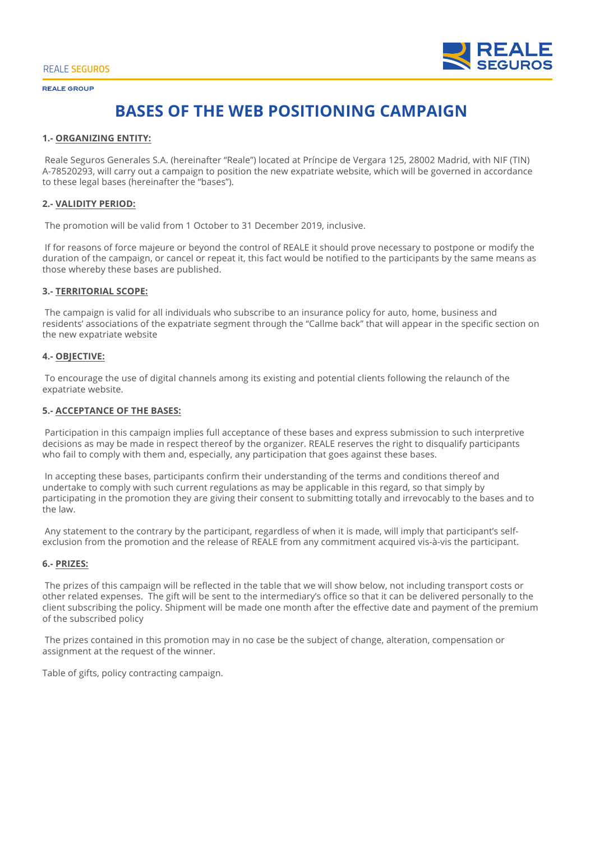

# **BASES OF THE WEB POSITIONING CAMPAIGN**

## **1.- ORGANIZING ENTITY:**

 Reale Seguros Generales S.A. (hereinafter "Reale") located at Príncipe de Vergara 125, 28002 Madrid, with NIF (TIN) A-78520293, will carry out a campaign to position the new expatriate website, which will be governed in accordance to these legal bases (hereinafter the "bases").

## **2.- VALIDITY PERIOD:**

The promotion will be valid from 1 October to 31 December 2019, inclusive.

 If for reasons of force majeure or beyond the control of REALE it should prove necessary to postpone or modify the duration of the campaign, or cancel or repeat it, this fact would be notified to the participants by the same means as those whereby these bases are published.

## **3.- TERRITORIAL SCOPE:**

 The campaign is valid for all individuals who subscribe to an insurance policy for auto, home, business and residents' associations of the expatriate segment through the "Callme back" that will appear in the specific section on the new expatriate website

## **4.- OBJECTIVE:**

 To encourage the use of digital channels among its existing and potential clients following the relaunch of the expatriate website.

## **5.- ACCEPTANCE OF THE BASES:**

 Participation in this campaign implies full acceptance of these bases and express submission to such interpretive decisions as may be made in respect thereof by the organizer. REALE reserves the right to disqualify participants who fail to comply with them and, especially, any participation that goes against these bases.

 In accepting these bases, participants confirm their understanding of the terms and conditions thereof and undertake to comply with such current regulations as may be applicable in this regard, so that simply by participating in the promotion they are giving their consent to submitting totally and irrevocably to the bases and to the law.

 Any statement to the contrary by the participant, regardless of when it is made, will imply that participant's selfexclusion from the promotion and the release of REALE from any commitment acquired vis-à-vis the participant.

## **6.- PRIZES:**

 The prizes of this campaign will be reflected in the table that we will show below, not including transport costs or other related expenses. The gift will be sent to the intermediary's office so that it can be delivered personally to the client subscribing the policy. Shipment will be made one month after the effective date and payment of the premium of the subscribed policy

 The prizes contained in this promotion may in no case be the subject of change, alteration, compensation or assignment at the request of the winner.

Table of gifts, policy contracting campaign.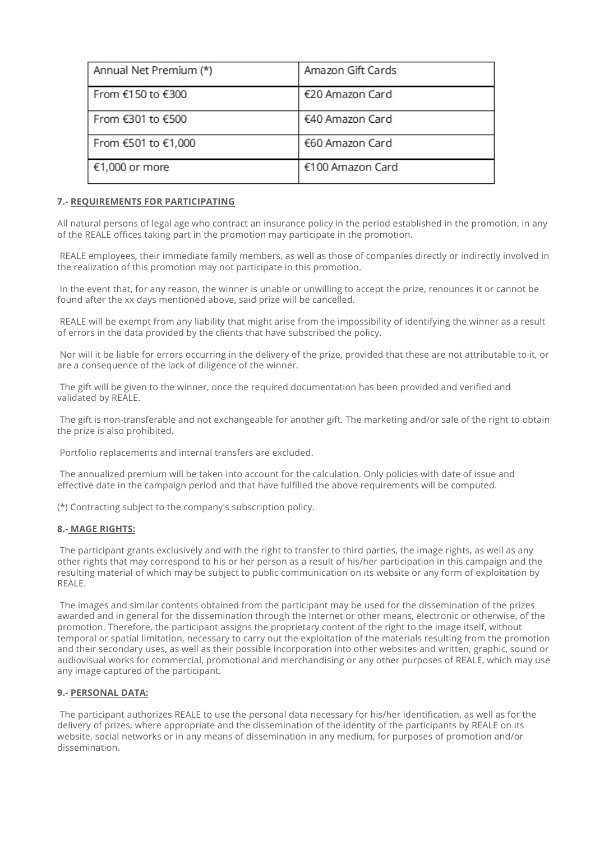| Annual Net Premium (*) | Amazon Gift Cards |
|------------------------|-------------------|
| From €150 to €300      | €20 Amazon Card   |
| From €301 to €500      | €40 Amazon Card   |
| From €501 to €1,000    | €60 Amazon Card   |
| €1,000 or more         | €100 Amazon Card  |

## **7.- REQUIREMENTS FOR PARTICIPATING**

All natural persons of legal age who contract an insurance policy in the period established in the promotion, in any of the REALE offices taking part in the promotion may participate in the promotion.

 REALE employees, their immediate family members, as well as those of companies directly or indirectly involved in the realization of this promotion may not participate in this promotion.

 In the event that, for any reason, the winner is unable or unwilling to accept the prize, renounces it or cannot be found after the xx days mentioned above, said prize will be cancelled.

 REALE will be exempt from any liability that might arise from the impossibility of identifying the winner as a result of errors in the data provided by the clients that have subscribed the policy.

 Nor will it be liable for errors occurring in the delivery of the prize, provided that these are not attributable to it, or are a consequence of the lack of diligence of the winner.

 The gift will be given to the winner, once the required documentation has been provided and verified and validated by REALE.

 The gift is non-transferable and not exchangeable for another gift. The marketing and/or sale of the right to obtain the prize is also prohibited.

Portfolio replacements and internal transfers are excluded.

 The annualized premium will be taken into account for the calculation. Only policies with date of issue and effective date in the campaign period and that have fulfilled the above requirements will be computed.

(\*) Contracting subject to the company's subscription policy.

## **8.- MAGE RIGHTS:**

 The participant grants exclusively and with the right to transfer to third parties, the image rights, as well as any other rights that may correspond to his or her person as a result of his/her participation in this campaign and the resulting material of which may be subject to public communication on its website or any form of exploitation by REALE.

 The images and similar contents obtained from the participant may be used for the dissemination of the prizes awarded and in general for the dissemination through the Internet or other means, electronic or otherwise, of the promotion. Therefore, the participant assigns the proprietary content of the right to the image itself, without temporal or spatial limitation, necessary to carry out the exploitation of the materials resulting from the promotion and their secondary uses, as well as their possible incorporation into other websites and written, graphic, sound or audiovisual works for commercial, promotional and merchandising or any other purposes of REALE, which may use any image captured of the participant.

## **9.- PERSONAL DATA:**

 The participant authorizes REALE to use the personal data necessary for his/her identification, as well as for the delivery of prizes, where appropriate and the dissemination of the identity of the participants by REALE on its website, social networks or in any means of dissemination in any medium, for purposes of promotion and/or dissemination.